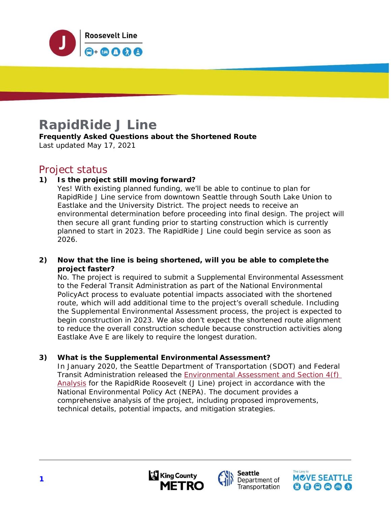

# **RapidRide J Line**

**Frequently Asked Questions about the Shortened Route**  Last updated May 17, 2021

### Project status

#### **1) Is the project still moving forward?**

Yes! With existing planned funding, we'll be able to continue to plan for RapidRide J Line service from downtown Seattle through South Lake Union to Eastlake and the University District. The project needs to receive an environmental determination before proceeding into final design. The project will then secure all grant funding prior to starting construction which is currently planned to start in 2023. The RapidRide J Line could begin service as soon as 2026.

#### **2) Now that the line is being shortened, will you be able to complete the project faster?**

No. The project is required to submit a Supplemental Environmental Assessment to the Federal Transit Administration as part of the National Environmental Policy Act process to evaluate potential impacts associated with the shortened route, which will add additional time to the project's overall schedule. Including the Supplemental Environmental Assessment process, the project is expected to begin construction in 2023. We also don't expect the shortened route alignment to reduce the overall construction schedule because construction activities along Eastlake Ave E are likely to require the longest duration.

#### **3) What is the Supplemental Environmental Assessment?**

In January 2020, the Seattle Department of Transportation (SDOT) and Federal Transit Administration released the **Environmental Assessment and Section 4(f)** Analysis for the RapidRide Roosevelt (J Line) project in accordance with the National Environmental Policy Act (NEPA). The document provides a comprehensive analysis of the project, including proposed improvements, technical details, potential impacts, and mitigation strategies.





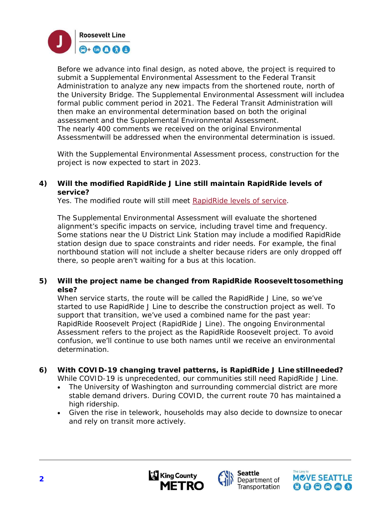

Before we advance into final design, as noted above, the project is required to submit a Supplemental Environmental Assessment to the Federal Transit Administration to analyze any new impacts from the shortened route, north of the University Bridge. The Supplemental Environmental Assessment will includea formal public comment period in 2021. The Federal Transit Administration will then make an environmental determination based on both the original assessment and the Supplemental Environmental Assessment. The nearly 400 comments we received on the original Environmental Assessment will be addressed when the environmental determination is issued.

With the Supplemental Environmental Assessment process, construction for the project is now expected to start in 2023.

#### **4) Will the modified RapidRide J Line still maintain RapidRide levels of service?**

Yes. The modified route will still meet RapidRide levels of service.

The Supplemental Environmental Assessment will evaluate the shortened alignment's specific impacts on service, including travel time and frequency. Some stations near the U District Link Station may include a modified RapidRide station design due to space constraints and rider needs. For example, the final northbound station will not include a shelter because riders are only dropped off there, so people aren't waiting for a bus at this location.

#### **5)** Will the project name be changed from RapidRide Roosevelt to something **else?**

When service starts, the route will be called the RapidRide J Line, so we've started to use RapidRide J Line to describe the construction project as well. To support that transition, we've used a combined name for the past year: RapidRide Roosevelt Project (RapidRide J Line). The ongoing Environmental Assessment refers to the project as the RapidRide Roosevelt project. To avoid confusion, we'll continue to use both names until we receive an environmental determination.

### **6) With COVID-19 changing travel patterns, is RapidRide J Line still needed?**

While COVID-19 is unprecedented, our communities still need RapidRide J Line.

- The University of Washington and surrounding commercial district are more stable demand drivers. During COVID, the current route 70 has maintained a high ridership.
- Given the rise in telework, households may also decide to downsize to onecar and rely on transit more actively.





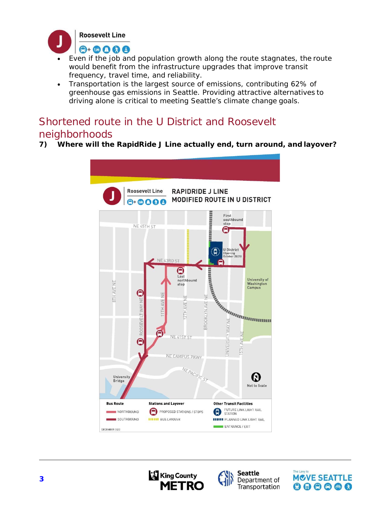

- Even if the job and population growth along the route stagnates, the route would benefit from the infrastructure upgrades that improve transit frequency, travel time, and reliability.
- Transportation is the largest source of emissions, contributing 62% of greenhouse gas emissions in Seattle. Providing attractive alternatives to driving alone is critical to meeting Seattle's climate change goals.

## Shortened route in the U District and Roosevelt neighborhoods

**7) Where will the RapidRide J Line actually end, turn around, and layover?** 







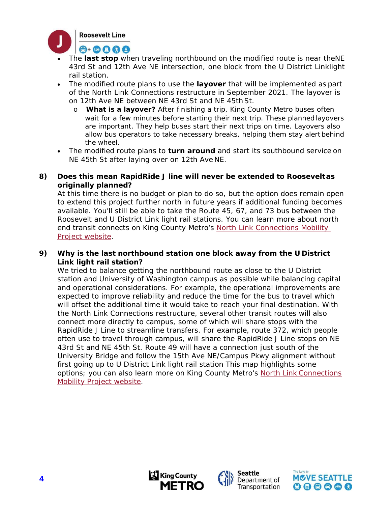

- The **last stop** when traveling northbound on the modified route is near the NE 43rd St and 12th Ave NE intersection, one block from the U District Linklight rail station.
- The modified route plans to use the **layover** that will be implemented as part of the North Link Connections restructure in September 2021. The layover is on 12th Ave NE between NE 43rd St and NE 45th St.
	- o **What is a layover?** After finishing a trip, King County Metro buses often wait for a few minutes before starting their next trip. These planned layovers are important. They help buses start their next trips on time. Layovers also allow bus operators to take necessary breaks, helping them stay alert behind the wheel.
- The modified route plans to **turn around** and start its southbound service on NE 45th St after laying over on 12th Ave NE.

#### **8) Does this mean RapidRide J line will never be extended to Roosevelt as originally planned?**

At this time there is no budget or plan to do so, but the option does remain open to extend this project further north in future years if additional funding becomes available. You'll still be able to take the Route 45, 67, and 73 bus between the Roosevelt and U District Link light rail stations. You can learn more about north end transit connects on King County Metro's North Link Connections Mobility Project website.

#### **9) Why is the last northbound station one block away from the U District Link light rail station?**

We tried to balance getting the northbound route as close to the U District station and University of Washington campus as possible while balancing capital and operational considerations. For example, the operational improvements are expected to improve reliability and reduce the time for the bus to travel which will offset the additional time it would take to reach your final destination. With the North Link Connections restructure, several other transit routes will also connect more directly to campus, some of which will share stops with the RapidRide J Line to streamline transfers. For example, route 372, which people often use to travel through campus, will share the RapidRide J Line stops on NE 43rd St and NE 45th St. Route 49 will have a connection just south of the University Bridge and follow the 15th Ave NE/Campus Pkwy alignment without first going up to U District Link light rail station This map highlights some options; you can also learn more on King County Metro's North Link Connections Mobility Project website.





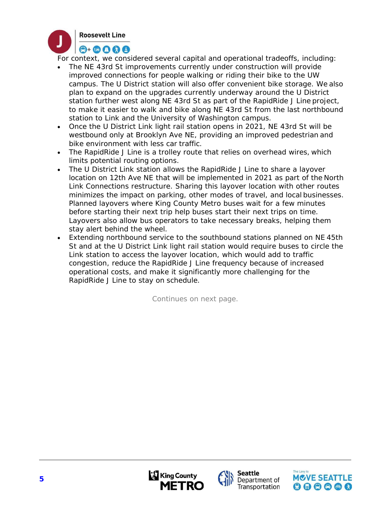

For context, we considered several capital and operational tradeoffs, including:

- The NE 43rd St improvements currently under construction will provide improved connections for people walking or riding their bike to the UW campus. The U District station will also offer convenient bike storage. We also plan to expand on the upgrades currently underway around the U District station further west along NE 43rd St as part of the RapidRide J Line project, to make it easier to walk and bike along NE 43rd St from the last northbound station to Link and the University of Washington campus.
- Once the U District Link light rail station opens in 2021, NE 43rd St will be westbound only at Brooklyn Ave NE, providing an improved pedestrian and bike environment with less car traffic.
- The RapidRide J Line is a trolley route that relies on overhead wires, which limits potential routing options.
- The U District Link station allows the RapidRide J Line to share a layover location on 12th Ave NE that will be implemented in 2021 as part of the North Link Connections restructure. Sharing this layover location with other routes minimizes the impact on parking, other modes of travel, and local businesses. Planned layovers where King County Metro buses wait for a few minutes before starting their next trip help buses start their next trips on time. Layovers also allow bus operators to take necessary breaks, helping them stay alert behind the wheel.
- Extending northbound service to the southbound stations planned on NE 45th St and at the U District Link light rail station would require buses to circle the Link station to access the layover location, which would add to traffic congestion, reduce the RapidRide J Line frequency because of increased operational costs, and make it significantly more challenging for the RapidRide J Line to stay on schedule.

*Continues on next page.*



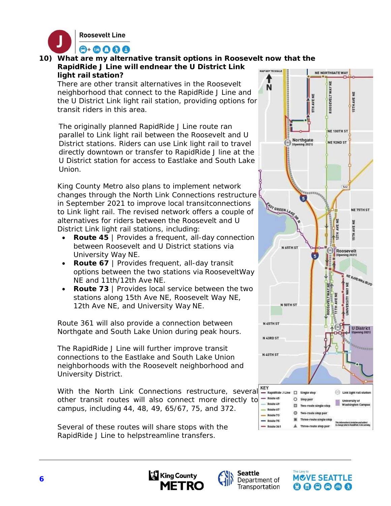

**10) What are my alternative transit options in Roosevelt now that the RapidRide J Line will endnear the U District Link light rail station?** 

There are other transit alternatives in the Roosevelt neighborhood that connect to the RapidRide J Line and the U District Link light rail station, providing options for transit riders in this area.

The originally planned RapidRide J Line route ran parallel to Link light rail between the Roosevelt and U District stations. Riders can use Link light rail to travel directly downtown or transfer to RapidRide J line at the U District station for access to Eastlake and South Lake Union.

King County Metro also plans to implement network changes through the North Link Connections restructure in September 2021 to improve local transit connections to Link light rail. The revised network offers a couple of alternatives for riders between the Roosevelt and U District Link light rail stations, including:

- **Route 45** | Provides a frequent, all-day connection between Roosevelt and U District stations via University Way NE.
- **Route 67** | Provides frequent, all-day transit options between the two stations via Roosevelt Way NE and 11th/12th Ave NE.
- **Route 73** | Provides local service between the two stations along 15th Ave NE, Roosevelt Way NE, 12th Ave NE, and University Way NE.

Route 361 will also provide a connection between Northgate and South Lake Union during peak hours.

The RapidRide J Line will further improve transit connections to the Eastlake and South Lake Union neighborhoods with the Roosevelt neighborhood and University District.

With the North Link Connections restructure, several ERIC other transit routes will also connect more directly to  $\frac{1}{2}$ campus, including 44, 48, 49, 65/67, 75, and 372.

Several of these routes will share stops with the RapidRide J Line to helpstreamline transfers.







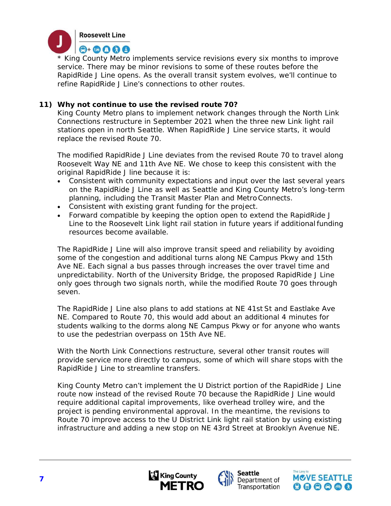

*\* King County Metro implements service revisions every six months to improve service. There may be minor revisions to some of these routes before the RapidRide J Line opens. As the overall transit system evolves, we'll continue to refine RapidRide J Line's connections to other routes.* 

#### **11) Why not continue to use the revised route 70?**

King County Metro plans to implement network changes through the North Link Connections restructure in September 2021 when the three new Link light rail stations open in north Seattle. When RapidRide J Line service starts, it would replace the revised Route 70.

The modified RapidRide J Line deviates from the revised Route 70 to travel along Roosevelt Way NE and 11th Ave NE. We chose to keep this consistent with the original RapidRide J line because it is:

- Consistent with community expectations and input over the last several years on the RapidRide J Line as well as Seattle and King County Metro's long-term planning, including the Transit Master Plan and Metro Connects.
- Consistent with existing grant funding for the project.
- Forward compatible by keeping the option open to extend the RapidRide J Line to the Roosevelt Link light rail station in future years if additional funding resources become available.

The RapidRide J Line will also improve transit speed and reliability by avoiding some of the congestion and additional turns along NE Campus Pkwy and 15th Ave NE. Each signal a bus passes through increases the over travel time and unpredictability. North of the University Bridge, the proposed RapidRide J Line only goes through two signals north, while the modified Route 70 goes through seven.

The RapidRide J Line also plans to add stations at NE 41st St and Eastlake Ave NE. Compared to Route 70, this would add about an additional 4 minutes for students walking to the dorms along NE Campus Pkwy or for anyone who wants to use the pedestrian overpass on 15th Ave NE.

With the North Link Connections restructure, several other transit routes will provide service more directly to campus, some of which will share stops with the RapidRide J Line to streamline transfers.

King County Metro can't implement the U District portion of the RapidRide J Line route now instead of the revised Route 70 because the RapidRide J Line would require additional capital improvements, like overhead trolley wire, and the project is pending environmental approval. In the meantime, the revisions to Route 70 improve access to the U District Link light rail station by using existing infrastructure and adding a new stop on NE 43rd Street at Brooklyn Avenue NE.





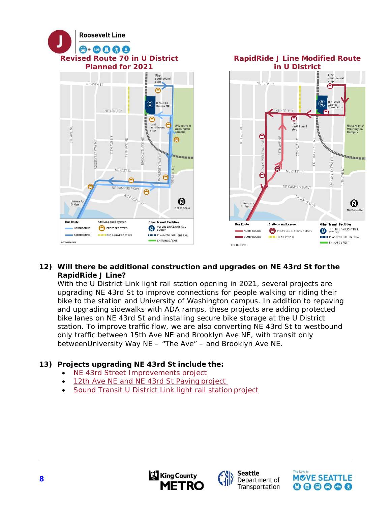

#### **12) Will there be additional construction and upgrades on NE 43rd St for the RapidRide J Line?**

With the U District Link light rail station opening in 2021, several projects are upgrading NE 43rd St to improve connections for people walking or riding their bike to the station and University of Washington campus. In addition to repaving and upgrading sidewalks with ADA ramps, these projects are adding protected bike lanes on NE 43rd St and installing secure bike storage at the U District station. To improve traffic flow, we are also converting NE 43rd St to westbound only traffic between 15th Ave NE and Brooklyn Ave NE, with transit only between University Way NE - "The Ave" - and Brooklyn Ave NE.

#### **13) Projects upgrading NE 43rd St include the:**

- NE 43rd Street Improvements project
- 12th Ave NE and NE 43rd St Paving project
- Sound Transit U District Link light rail station project





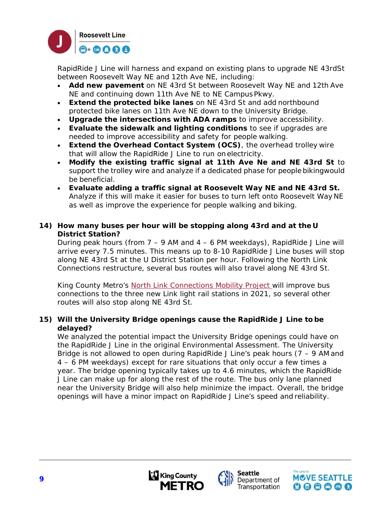

RapidRide J Line will harness and expand on existing plans to upgrade NE 43rdSt between Roosevelt Way NE and 12th Ave NE, including:

- **Add new pavement** on NE 43rd St between Roosevelt Way NE and 12th Ave NE and continuing down 11th Ave NE to NE Campus Pkwy.
- **Extend the protected bike lanes** on NE 43rd St and add northbound protected bike lanes on 11th Ave NE down to the University Bridge.
- **Upgrade the intersections with ADA ramps** to improve accessibility.
- **Evaluate the sidewalk and lighting conditions** to see if upgrades are needed to improve accessibility and safety for people walking.
- **Extend the Overhead Contact System (OCS)**, the overhead trolley wire that will allow the RapidRide J Line to run on electricity.
- **Modify the existing traffic signal at 11th Ave Ne and NE 43rd St** to support the trolley wire and analyze if a dedicated phase for people biking would be beneficial.
- **Evaluate adding a traffic signal at Roosevelt Way NE and NE 43rd St.**  Analyze if this will make it easier for buses to turn left onto Roosevelt Way NE as well as improve the experience for people walking and biking.

#### **14) How many buses per hour will be stopping along 43rd and at the U District Station?**

During peak hours (from  $7 - 9$  AM and  $4 - 6$  PM weekdays), RapidRide J Line will arrive every 7.5 minutes. This means up to 8-10 RapidRide J Line buses will stop along NE 43rd St at the U District Station per hour. Following the North Link Connections restructure, several bus routes will also travel along NE 43rd St.

King County Metro's North Link Connections Mobility Project will improve bus connections to the three new Link light rail stations in 2021, so several other routes will also stop along NE 43rd St.

#### **15) Will the University Bridge openings cause the RapidRide J Line to be delayed?**

We analyzed the potential impact the University Bridge openings could have on the RapidRide J Line in the original Environmental Assessment. The University Bridge is not allowed to open during RapidRide J Line's peak hours  $(7 - 9)$  AM and 4 – 6 PM weekdays) except for rare situations that only occur a few times a year. The bridge opening typically takes up to 4.6 minutes, which the RapidRide J Line can make up for along the rest of the route. The bus only lane planned near the University Bridge will also help minimize the impact. Overall, the bridge openings will have a minor impact on RapidRide J Line's speed and reliability.



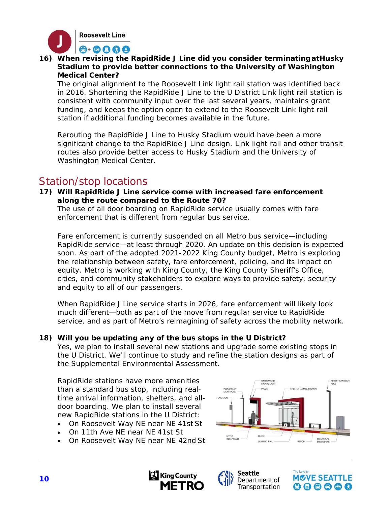

**16) When revising the RapidRide J Line did you consider terminating at Husky Stadium to provide better connections to the University of Washington Medical Center?** 

The original alignment to the Roosevelt Link light rail station was identified back in 2016. Shortening the RapidRide J Line to the U District Link light rail station is consistent with community input over the last several years, maintains grant funding, and keeps the option open to extend to the Roosevelt Link light rail station if additional funding becomes available in the future.

Rerouting the RapidRide J Line to Husky Stadium would have been a more significant change to the RapidRide J Line design. Link light rail and other transit routes also provide better access to Husky Stadium and the University of Washington Medical Center.

### Station/stop locations

**17) Will RapidRide J Line service come with increased fare enforcement along the route compared to the Route 70?** 

The use of all door boarding on RapidRide service usually comes with fare enforcement that is different from regular bus service.

Fare enforcement is currently suspended on all Metro bus service—including RapidRide service—at least through 2020. An update on this decision is expected soon. As part of the adopted 2021-2022 King County budget, Metro is exploring the relationship between safety, fare enforcement, policing, and its impact on equity. Metro is working with King County, the King County Sheriff's Office, cities, and community stakeholders to explore ways to provide safety, security and equity to all of our passengers.

When RapidRide J Line service starts in 2026, fare enforcement will likely look much different—both as part of the move from regular service to RapidRide service, and as part of Metro's reimagining of safety across the mobility network.

#### **18) Will you be updating any of the bus stops in the U District?**

Yes, we plan to install several new stations and upgrade some existing stops in the U District. We'll continue to study and refine the station designs as part of the Supplemental Environmental Assessment.

RapidRide stations have more amenities than a standard bus stop, including realtime arrival information, shelters, and alldoor boarding. We plan to install several new RapidRide stations in the U District:

- On Roosevelt Way NE near NE 41st St
- On 11th Ave NE near NE 41st St
- On Roosevelt Way NE near NE 42nd St







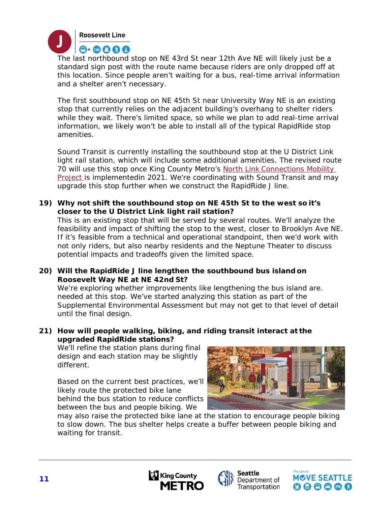

The last northbound stop on NE 43rd St near 12th Ave NE will likely just be a standard sign post with the route name because riders are only dropped off at this location. Since people aren't waiting for a bus, real-time arrival information and a shelter aren't necessary.

The first southbound stop on NE 45th St near University Way NE is an existing stop that currently relies on the adjacent building's overhang to shelter riders while they wait. There's limited space, so while we plan to add real-time arrival information, we likely won't be able to install all of the typical RapidRide stop amenities.

Sound Transit is currently installing the southbound stop at the U District Link light rail station, which will include some additional amenities. The revised route 70 will use this stop once King County Metro's North Link Connections Mobility Project is implemented in 2021. We're coordinating with Sound Transit and may upgrade this stop further when we construct the RapidRide J line.

#### **19) Why not shift the southbound stop on NE 45th St to the west so it's closer to the U District Link light rail station?**

This is an existing stop that will be served by several routes. We'll analyze the feasibility and impact of shifting the stop to the west, closer to Brooklyn Ave NE. If it's feasible from a technical and operational standpoint, then we'd work with not only riders, but also nearby residents and the Neptune Theater to discuss potential impacts and tradeoffs given the limited space.

**20) Will the RapidRide J line lengthen the southbound bus island on Roosevelt Way NE at NE 42nd St?** 

We're exploring whether improvements like lengthening the bus island are. needed at this stop. We've started analyzing this station as part of the Supplemental Environmental Assessment but may not get to that level of detail until the final design.

**21) How will people walking, biking, and riding transit interact at the upgraded RapidRide stations?** 

We'll refine the station plans during final design and each station may be slightly different.

Based on the current best practices, we'll likely route the protected bike lane behind the bus station to reduce conflicts between the bus and people biking. We



may also raise the protected bike lane at the station to encourage people biking to slow down. The bus shelter helps create a buffer between people biking and waiting for transit.





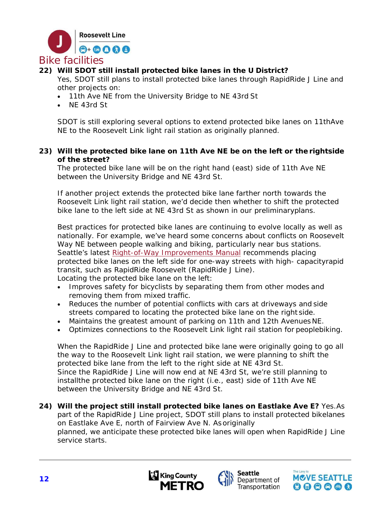

### **22) Will SDOT still install protected bike lanes in the U District?**

Yes, SDOT still plans to install protected bike lanes through RapidRide J Line and other projects on:

- 11th Ave NE from the University Bridge to NE 43rd St
- NF 43rd St

SDOT is still exploring several options to extend protected bike lanes on 11thAve NE to the Roosevelt Link light rail station as originally planned.

#### **23) Will the protected bike lane on 11th Ave NE be on the left or the right side of the street?**

The protected bike lane will be on the right hand (east) side of 11th Ave NE between the University Bridge and NE 43rd St.

If another project extends the protected bike lane farther north towards the Roosevelt Link light rail station, we'd decide then whether to shift the protected bike lane to the left side at NE 43rd St as shown in our preliminary plans.

Best practices for protected bike lanes are continuing to evolve locally as well as nationally. For example, we've heard some concerns about conflicts on Roosevelt Way NE between people walking and biking, particularly near bus stations. Seattle's latest Right-of-Way Improvements Manual recommends placing protected bike lanes on the left side for one-way streets with high- capacity rapid transit, such as RapidRide Roosevelt (RapidRide J Line). Locating the protected bike lane on the left:

- Improves safety for bicyclists by separating them from other modes and removing them from mixed traffic.
- Reduces the number of potential conflicts with cars at driveways and side streets compared to locating the protected bike lane on the right side.
- Maintains the greatest amount of parking on 11th and 12th Avenues NE.
- Optimizes connections to the Roosevelt Link light rail station for peoplebiking.

When the RapidRide J Line and protected bike lane were originally going to go all the way to the Roosevelt Link light rail station, we were planning to shift the protected bike lane from the left to the right side at NE 43rd St. Since the RapidRide J Line will now end at NE 43rd St, we're still planning to install the protected bike lane on the right (i.e., east) side of 11th Ave NE between the University Bridge and NE 43rd St.

**24) Will the project still install protected bike lanes on Eastlake Ave E?** Yes. As part of the RapidRide J Line project, SDOT still plans to install protected bike lanes on Eastlake Ave E, north of Fairview Ave N. As originally planned, we anticipate these protected bike lanes will open when RapidRide J Line service starts.





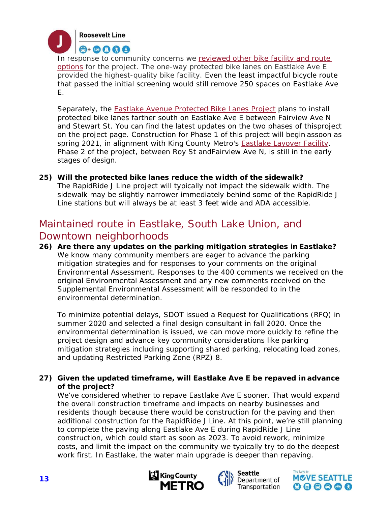

In response to community concerns we reviewed other bike facility and route options for the project. The one-way protected bike lanes on Eastlake Ave E provided the highest-quality bike facility. Even the least impactful bicycle route that passed the initial screening would still remove 250 spaces on Eastlake Ave E.

Separately, the Eastlake Avenue Protected Bike Lanes Project plans to install protected bike lanes farther south on Eastlake Ave E between Fairview Ave N and Stewart St. You can find the latest updates on the two phases of thisproject on the project page. Construction for Phase 1 of this project will begin assoon as spring 2021, in alignment with King County Metro's **Eastlake Layover Facility**. Phase 2 of the project, between Roy St and Fairview Ave N, is still in the early stages of design.

**25) Will the protected bike lanes reduce the width of the sidewalk?**  The RapidRide J Line project will typically not impact the sidewalk width. The sidewalk may be slightly narrower immediately behind some of the RapidRide J Line stations but will always be at least 3 feet wide and ADA accessible.

# Maintained route in Eastlake, South Lake Union, and Downtown neighborhoods

**26) Are there any updates on the parking mitigation strategies in Eastlake?**  We know many community members are eager to advance the parking mitigation strategies and for responses to your comments on the original Environmental Assessment. Responses to the 400 comments we received on the original Environmental Assessment and any new comments received on the Supplemental Environmental Assessment will be responded to in the environmental determination.

To minimize potential delays, SDOT issued a Request for Qualifications (RFQ) in summer 2020 and selected a final design consultant in fall 2020. Once the environmental determination is issued, we can move more quickly to refine the project design and advance key community considerations like parking mitigation strategies including supporting shared parking, relocating load zones, and updating Restricted Parking Zone (RPZ) 8.

#### **27) Given the updated timeframe, will Eastlake Ave E be repaved in advance of the project?**

We've considered whether to repave Eastlake Ave E sooner. That would expand the overall construction timeframe and impacts on nearby businesses and residents though because there would be construction for the paving and then additional construction for the RapidRide J Line. At this point, we're still planning to complete the paving along Eastlake Ave E during RapidRide J Line construction, which could start as soon as 2023. To avoid rework, minimize costs, and limit the impact on the community we typically try to do the deepest work first. In Eastlake, the water main upgrade is deeper than repaving.